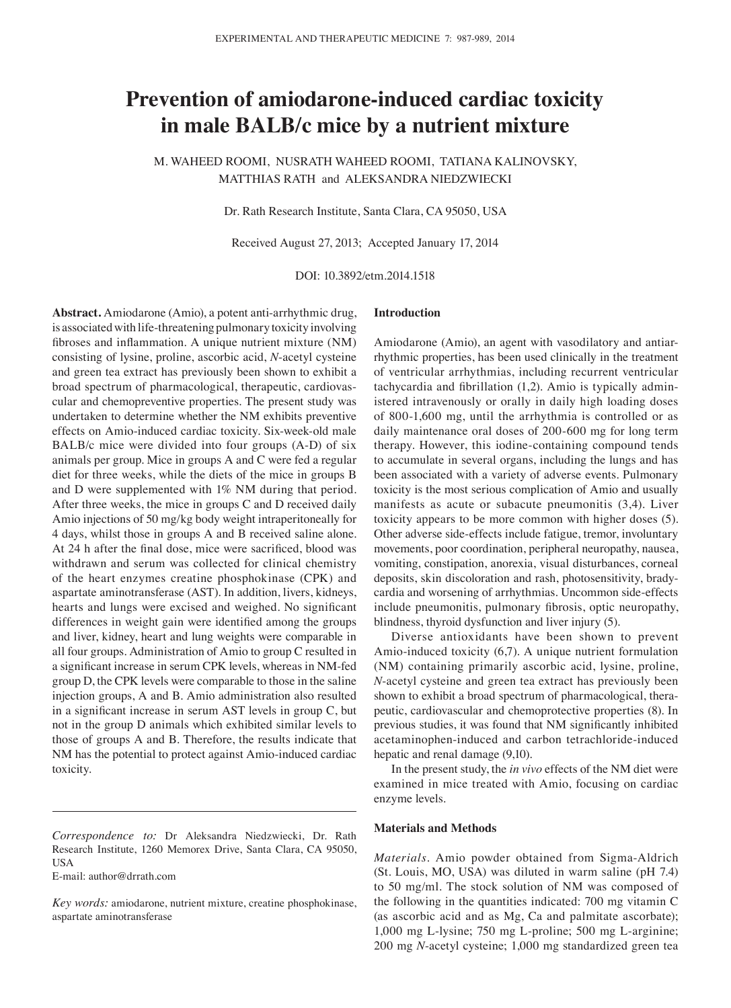# **Prevention of amiodarone‑induced cardiac toxicity in male BALB/c mice by a nutrient mixture**

M. WAHEED ROOMI, NUSRATH WAHEED ROOMI, TATIANA KALINOVSKY, MATTHIAS RATH and ALEKSANDRA NIEDZWIECKI

Dr. Rath Research Institute, Santa Clara, CA 95050, USA

Received August 27, 2013; Accepted January 17, 2014

DOI: 10.3892/etm.2014.1518

**Abstract.** Amiodarone (Amio), a potent anti-arrhythmic drug, is associated with life-threatening pulmonary toxicity involving fibroses and inflammation. A unique nutrient mixture (NM) consisting of lysine, proline, ascorbic acid, *N*-acetyl cysteine and green tea extract has previously been shown to exhibit a broad spectrum of pharmacological, therapeutic, cardiovascular and chemopreventive properties. The present study was undertaken to determine whether the NM exhibits preventive effects on Amio‑induced cardiac toxicity. Six‑week‑old male BALB/c mice were divided into four groups (A-D) of six animals per group. Mice in groups A and C were fed a regular diet for three weeks, while the diets of the mice in groups B and D were supplemented with 1% NM during that period. After three weeks, the mice in groups C and D received daily Amio injections of 50 mg/kg body weight intraperitoneally for 4 days, whilst those in groups A and B received saline alone. At 24 h after the final dose, mice were sacrificed, blood was withdrawn and serum was collected for clinical chemistry of the heart enzymes creatine phosphokinase (CPK) and aspartate aminotransferase (AST). In addition, livers, kidneys, hearts and lungs were excised and weighed. No significant differences in weight gain were identified among the groups and liver, kidney, heart and lung weights were comparable in all four groups. Administration of Amio to group C resulted in a significant increase in serum CPK levels, whereas in NM-fed group D, the CPK levels were comparable to those in the saline injection groups, A and B. Amio administration also resulted in a significant increase in serum AST levels in group C, but not in the group D animals which exhibited similar levels to those of groups A and B. Therefore, the results indicate that NM has the potential to protect against Amio-induced cardiac toxicity.

*Correspondence to:* Dr Aleksandra Niedzwiecki, Dr. Rath Research Institute, 1260 Memorex Drive, Santa Clara, CA 95050, USA

E‑mail: author@drrath.com

*Key words:* amiodarone, nutrient mixture, creatine phosphokinase, aspartate aminotransferase

# **Introduction**

Amiodarone (Amio), an agent with vasodilatory and antiarrhythmic properties, has been used clinically in the treatment of ventricular arrhythmias, including recurrent ventricular tachycardia and fibrillation (1,2). Amio is typically administered intravenously or orally in daily high loading doses of 800-1,600 mg, until the arrhythmia is controlled or as daily maintenance oral doses of 200-600 mg for long term therapy. However, this iodine‑containing compound tends to accumulate in several organs, including the lungs and has been associated with a variety of adverse events. Pulmonary toxicity is the most serious complication of Amio and usually manifests as acute or subacute pneumonitis (3,4). Liver toxicity appears to be more common with higher doses (5). Other adverse side-effects include fatigue, tremor, involuntary movements, poor coordination, peripheral neuropathy, nausea, vomiting, constipation, anorexia, visual disturbances, corneal deposits, skin discoloration and rash, photosensitivity, bradycardia and worsening of arrhythmias. Uncommon side-effects include pneumonitis, pulmonary fibrosis, optic neuropathy, blindness, thyroid dysfunction and liver injury (5).

Diverse antioxidants have been shown to prevent Amio-induced toxicity (6,7). A unique nutrient formulation (NM) containing primarily ascorbic acid, lysine, proline, *N*‑acetyl cysteine and green tea extract has previously been shown to exhibit a broad spectrum of pharmacological, therapeutic, cardiovascular and chemoprotective properties (8). In previous studies, it was found that NM significantly inhibited acetaminophen‑induced and carbon tetrachloride‑induced hepatic and renal damage (9,10).

In the present study, the *in vivo* effects of the NM diet were examined in mice treated with Amio, focusing on cardiac enzyme levels.

#### **Materials and Methods**

*Materials.* Amio powder obtained from Sigma‑Aldrich (St. Louis, MO, USA) was diluted in warm saline (pH 7.4) to 50 mg/ml. The stock solution of NM was composed of the following in the quantities indicated: 700 mg vitamin C (as ascorbic acid and as Mg, Ca and palmitate ascorbate); 1,000 mg L‑lysine; 750 mg L‑proline; 500 mg L‑arginine; 200 mg *N*‑acetyl cysteine; 1,000 mg standardized green tea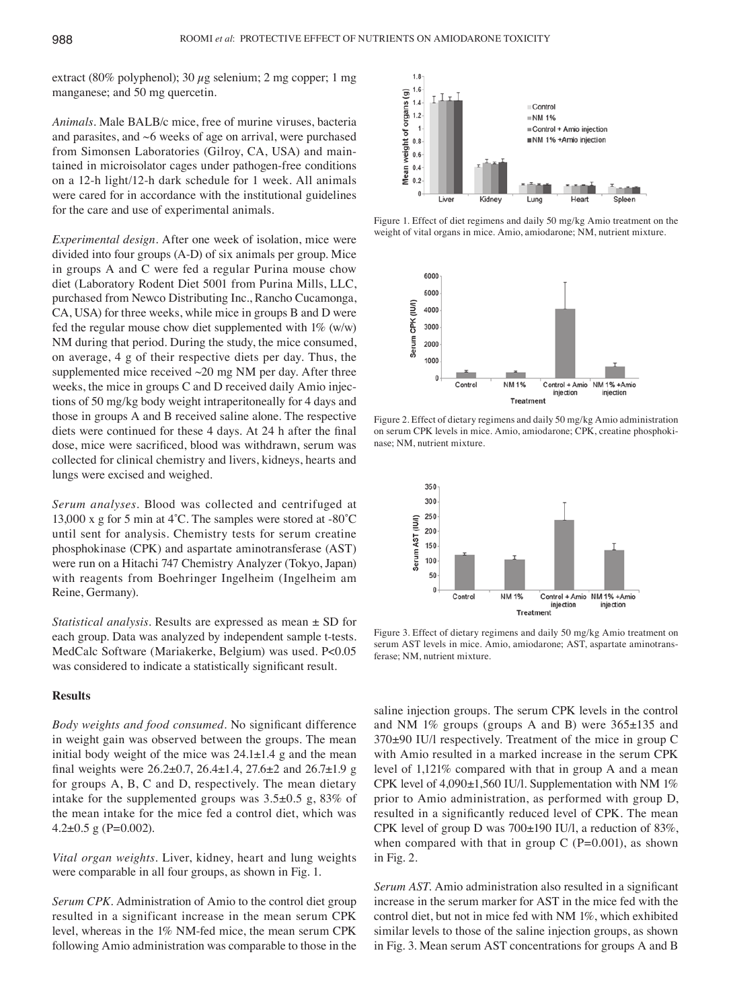extract (80% polyphenol); 30  $\mu$ g selenium; 2 mg copper; 1 mg manganese; and 50 mg quercetin.

*Animals.* Male BALB/c mice, free of murine viruses, bacteria and parasites, and ~6 weeks of age on arrival, were purchased from Simonsen Laboratories (Gilroy, CA, USA) and maintained in microisolator cages under pathogen-free conditions on a 12-h light/12‑h dark schedule for 1 week. All animals were cared for in accordance with the institutional guidelines for the care and use of experimental animals.

*Experimental design.* After one week of isolation, mice were divided into four groups (A‑D) of six animals per group. Mice in groups A and C were fed a regular Purina mouse chow diet (Laboratory Rodent Diet 5001 from Purina Mills, LLC, purchased from Newco Distributing Inc., Rancho Cucamonga, CA, USA) for three weeks, while mice in groups B and D were fed the regular mouse chow diet supplemented with  $1\%$  (w/w) NM during that period. During the study, the mice consumed, on average, 4 g of their respective diets per day. Thus, the supplemented mice received  $\sim$ 20 mg NM per day. After three weeks, the mice in groups C and D received daily Amio injections of 50 mg/kg body weight intraperitoneally for 4 days and those in groups A and B received saline alone. The respective diets were continued for these 4 days. At 24 h after the final dose, mice were sacrificed, blood was withdrawn, serum was collected for clinical chemistry and livers, kidneys, hearts and lungs were excised and weighed.

*Serum analyses.* Blood was collected and centrifuged at 13,000 x g for 5 min at 4˚C. The samples were stored at ‑80˚C until sent for analysis. Chemistry tests for serum creatine phosphokinase (CPK) and aspartate aminotransferase (AST) were run on a Hitachi 747 Chemistry Analyzer (Tokyo, Japan) with reagents from Boehringer Ingelheim (Ingelheim am Reine, Germany).

*Statistical analysis.* Results are expressed as mean ± SD for each group. Data was analyzed by independent sample t-tests. MedCalc Software (Mariakerke, Belgium) was used. P<0.05 was considered to indicate a statistically significant result.

## **Results**

*Body weights and food consumed.* No significant difference in weight gain was observed between the groups. The mean initial body weight of the mice was  $24.1 \pm 1.4$  g and the mean final weights were 26.2±0.7, 26.4±1.4, 27.6±2 and 26.7±1.9 g for groups A, B, C and D, respectively. The mean dietary intake for the supplemented groups was  $3.5\pm0.5$  g,  $83\%$  of the mean intake for the mice fed a control diet, which was 4.2 $\pm$ 0.5 g (P=0.002).

*Vital organ weights.* Liver, kidney, heart and lung weights were comparable in all four groups, as shown in Fig. 1.

*Serum CPK.* Administration of Amio to the control diet group resulted in a significant increase in the mean serum CPK level, whereas in the 1% NM-fed mice, the mean serum CPK following Amio administration was comparable to those in the



Figure 1. Effect of diet regimens and daily 50 mg/kg Amio treatment on the weight of vital organs in mice. Amio, amiodarone; NM, nutrient mixture.



Figure 2. Effect of dietary regimens and daily 50 mg/kg Amio administration on serum CPK levels in mice. Amio, amiodarone; CPK, creatine phosphokinase; NM, nutrient mixture.



Figure 3. Effect of dietary regimens and daily 50 mg/kg Amio treatment on serum AST levels in mice. Amio, amiodarone; AST, aspartate aminotransferase; NM, nutrient mixture.

saline injection groups. The serum CPK levels in the control and NM 1% groups (groups A and B) were 365±135 and 370±90 IU/l respectively. Treatment of the mice in group C with Amio resulted in a marked increase in the serum CPK level of 1,121% compared with that in group A and a mean CPK level of 4,090±1,560 IU/l. Supplementation with NM 1% prior to Amio administration, as performed with group D, resulted in a significantly reduced level of CPK. The mean CPK level of group D was 700±190 IU/l, a reduction of 83%, when compared with that in group  $C$  (P=0.001), as shown in Fig. 2.

*Serum AST.* Amio administration also resulted in a significant increase in the serum marker for AST in the mice fed with the control diet, but not in mice fed with NM 1%, which exhibited similar levels to those of the saline injection groups, as shown in Fig. 3. Mean serum AST concentrations for groups A and B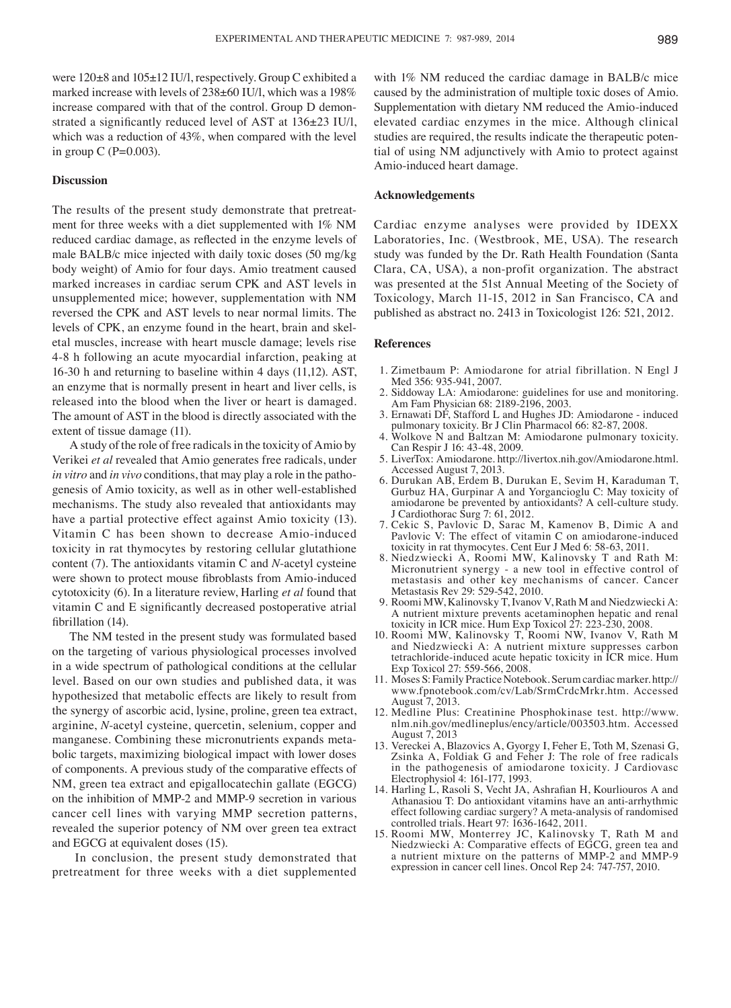were 120±8 and 105±12 IU/l, respectively. Group C exhibited a marked increase with levels of 238±60 IU/l, which was a 198% increase compared with that of the control. Group D demonstrated a significantly reduced level of AST at 136±23 IU/l, which was a reduction of 43%, when compared with the level in group C ( $P=0.003$ ).

## **Discussion**

The results of the present study demonstrate that pretreatment for three weeks with a diet supplemented with 1% NM reduced cardiac damage, as reflected in the enzyme levels of male BALB/c mice injected with daily toxic doses (50 mg/kg body weight) of Amio for four days. Amio treatment caused marked increases in cardiac serum CPK and AST levels in unsupplemented mice; however, supplementation with NM reversed the CPK and AST levels to near normal limits. The levels of CPK, an enzyme found in the heart, brain and skeletal muscles, increase with heart muscle damage; levels rise 4-8 h following an acute myocardial infarction, peaking at 16‑30 h and returning to baseline within 4 days (11,12). AST, an enzyme that is normally present in heart and liver cells, is released into the blood when the liver or heart is damaged. The amount of AST in the blood is directly associated with the extent of tissue damage (11).

A study of the role of free radicals in the toxicity of Amio by Verikei *et al* revealed that Amio generates free radicals, under *in vitro* and *in vivo* conditions, that may play a role in the pathogenesis of Amio toxicity, as well as in other well‑established mechanisms. The study also revealed that antioxidants may have a partial protective effect against Amio toxicity (13). Vitamin C has been shown to decrease Amio‑induced toxicity in rat thymocytes by restoring cellular glutathione content (7). The antioxidants vitamin C and *N*-acetyl cysteine were shown to protect mouse fibroblasts from Amio‑induced cytotoxicity (6). In a literature review, Harling *et al* found that vitamin C and E significantly decreased postoperative atrial fibrillation (14).

The NM tested in the present study was formulated based on the targeting of various physiological processes involved in a wide spectrum of pathological conditions at the cellular level. Based on our own studies and published data, it was hypothesized that metabolic effects are likely to result from the synergy of ascorbic acid, lysine, proline, green tea extract, arginine, *N*‑acetyl cysteine, quercetin, selenium, copper and manganese. Combining these micronutrients expands metabolic targets, maximizing biological impact with lower doses of components. A previous study of the comparative effects of NM, green tea extract and epigallocatechin gallate (EGCG) on the inhibition of MMP‑2 and MMP‑9 secretion in various cancer cell lines with varying MMP secretion patterns, revealed the superior potency of NM over green tea extract and EGCG at equivalent doses (15).

 In conclusion, the present study demonstrated that pretreatment for three weeks with a diet supplemented

with 1% NM reduced the cardiac damage in BALB/c mice caused by the administration of multiple toxic doses of Amio. Supplementation with dietary NM reduced the Amio-induced elevated cardiac enzymes in the mice. Although clinical studies are required, the results indicate the therapeutic potential of using NM adjunctively with Amio to protect against Amio‑induced heart damage.

## **Acknowledgements**

Cardiac enzyme analyses were provided by IDEXX Laboratories, Inc. (Westbrook, ME, USA). The research study was funded by the Dr. Rath Health Foundation (Santa Clara, CA, USA), a non‑profit organization. The abstract was presented at the 51st Annual Meeting of the Society of Toxicology, March 11-15, 2012 in San Francisco, CA and published as abstract no. 2413 in Toxicologist 126: 521, 2012.

#### **References**

- 1. Zimetbaum P: Amiodarone for atrial fibrillation. N Engl J Med 356: 935‑941, 2007.
- 2. Siddoway LA: Amiodarone: guidelines for use and monitoring. Am Fam Physician 68: 2189‑2196, 2003.
- 3. Ernawati DF, Stafford L and Hughes JD: Amiodarone ‑ induced pulmonary toxicity. Br J Clin Pharmacol 66: 82‑87, 2008.
- 4. Wolkove N and Baltzan M: Amiodarone pulmonary toxicity. Can Respir J 16: 43‑48, 2009.
- 5. LiverTox: Amiodarone. http://livertox.nih.gov/Amiodarone.html. Accessed August 7, 2013.
- 6. Durukan AB, Erdem B, Durukan E, Sevim H, Karaduman T, Gurbuz HA, Gurpinar A and Yorgancioglu C: May toxicity of amiodarone be prevented by antioxidants? A cell-culture study. J Cardiothorac Surg 7: 61, 2012.
- 7. Cekic S, Pavlovic D, Sarac M, Kamenov B, Dimic A and Pavlovic V: The effect of vitamin C on amiodarone-induced toxicity in rat thymocytes. Cent Eur J Med 6: 58‑63, 2011.
- 8. Niedzwiecki A, Roomi MW, Kalinovsky T and Rath M: Micronutrient synergy - a new tool in effective control of metastasis and other key mechanisms of cancer. Cancer Metastasis Rev 29: 529‑542, 2010.
- 9. Roomi MW, Kalinovsky T, Ivanov V, Rath M and Niedzwiecki A: A nutrient mixture prevents acetaminophen hepatic and renal toxicity in ICR mice. Hum Exp Toxicol 27: 223-230, 2008.
- 10. Roomi MW, Kalinovsky T, Roomi NW, Ivanov V, Rath M and Niedzwiecki A: A nutrient mixture suppresses carbon tetrachloride‑induced acute hepatic toxicity in ICR mice. Hum Exp Toxicol 27: 559‑566, 2008.
- 11. Moses S: Family Practice Notebook. Serum cardiac marker. http:// www.fpnotebook.com/cv/Lab/SrmCrdcMrkr.htm. Accessed August 7, 2013.
- 12. Medline Plus: Creatinine Phosphokinase test. http://www. nlm.nih.gov/medlineplus/ency/article/003503.htm. Accessed August 7, 2013
- 13. Vereckei A, Blazovics A, Gyorgy I, Feher E, Toth M, Szenasi G, Zsinka A, Foldiak G and Feher J: The role of free radicals in the pathogenesis of amiodarone toxicity. J Cardiovasc Electrophysiol 4: 161‑177, 1993.
- 14. Harling L, Rasoli S, Vecht JA, Ashrafian H, Kourliouros A and Athanasiou T: Do antioxidant vitamins have an anti-arrhythmic effect following cardiac surgery? A meta‑analysis of randomised controlled trials. Heart 97: 1636‑1642, 2011.
- 15. Roomi MW, Monterrey JC, Kalinovsky T, Rath M and Niedzwiecki A: Comparative effects of EGCG, green tea and a nutrient mixture on the patterns of MMP-2 and MMP-9 expression in cancer cell lines. Oncol Rep 24: 747‑757, 2010.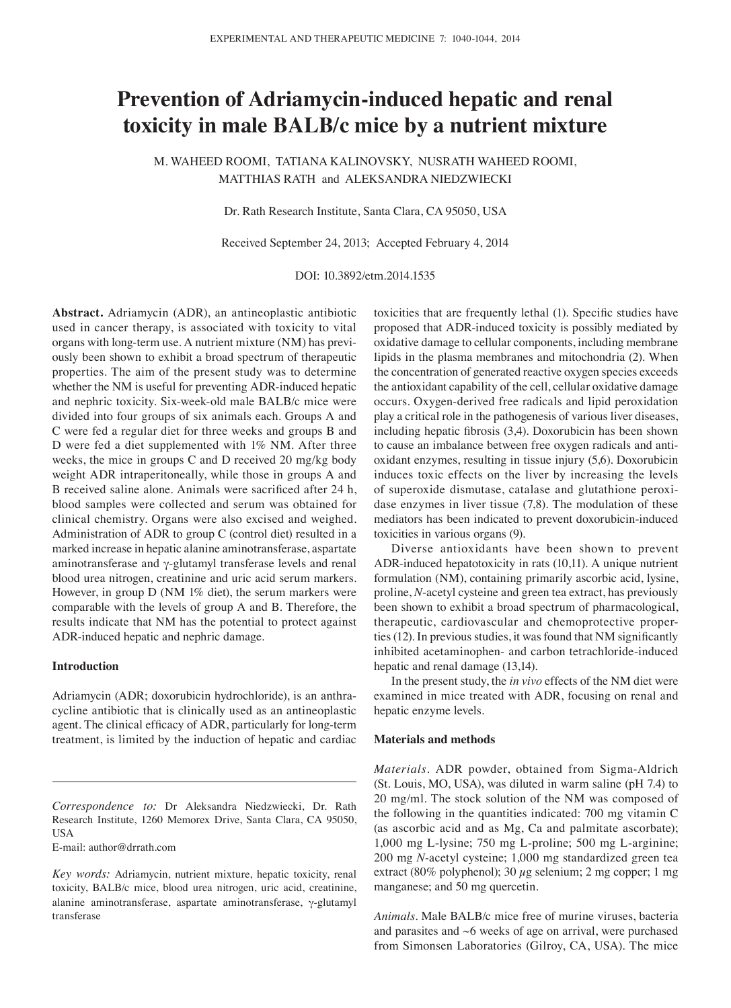# **Prevention of Adriamycin‑induced hepatic and renal toxicity in male BALB/c mice by a nutrient mixture**

M. WAHEED ROOMI, TATIANA KALINOVSKY, NUSRATH WAHEED ROOMI, MATTHIAS RATH and ALEKSANDRA NIEDZWIECKI

Dr. Rath Research Institute, Santa Clara, CA 95050, USA

Received September 24, 2013; Accepted February 4, 2014

DOI: 10.3892/etm.2014.1535

**Abstract.** Adriamycin (ADR), an antineoplastic antibiotic used in cancer therapy, is associated with toxicity to vital organs with long-term use. A nutrient mixture (NM) has previously been shown to exhibit a broad spectrum of therapeutic properties. The aim of the present study was to determine whether the NM is useful for preventing ADR-induced hepatic and nephric toxicity. Six-week-old male BALB/c mice were divided into four groups of six animals each. Groups A and C were fed a regular diet for three weeks and groups B and D were fed a diet supplemented with 1% NM. After three weeks, the mice in groups C and D received 20 mg/kg body weight ADR intraperitoneally, while those in groups A and B received saline alone. Animals were sacrificed after 24 h, blood samples were collected and serum was obtained for clinical chemistry. Organs were also excised and weighed. Administration of ADR to group C (control diet) resulted in a marked increase in hepatic alanine aminotransferase, aspartate aminotransferase and γ-glutamyl transferase levels and renal blood urea nitrogen, creatinine and uric acid serum markers. However, in group D (NM 1% diet), the serum markers were comparable with the levels of group A and B. Therefore, the results indicate that NM has the potential to protect against ADR-induced hepatic and nephric damage.

## **Introduction**

Adriamycin (ADR; doxorubicin hydrochloride), is an anthracycline antibiotic that is clinically used as an antineoplastic agent. The clinical efficacy of ADR, particularly for long-term treatment, is limited by the induction of hepatic and cardiac

E-mail: author@drrath.com

toxicities that are frequently lethal (1). Specific studies have proposed that ADR-induced toxicity is possibly mediated by oxidative damage to cellular components, including membrane lipids in the plasma membranes and mitochondria (2). When the concentration of generated reactive oxygen species exceeds the antioxidant capability of the cell, cellular oxidative damage occurs. Oxygen-derived free radicals and lipid peroxidation play a critical role in the pathogenesis of various liver diseases, including hepatic fibrosis (3,4). Doxorubicin has been shown to cause an imbalance between free oxygen radicals and antioxidant enzymes, resulting in tissue injury (5,6). Doxorubicin induces toxic effects on the liver by increasing the levels of superoxide dismutase, catalase and glutathione peroxidase enzymes in liver tissue (7,8). The modulation of these mediators has been indicated to prevent doxorubicin-induced toxicities in various organs (9).

Diverse antioxidants have been shown to prevent ADR-induced hepatotoxicity in rats (10,11). A unique nutrient formulation (NM), containing primarily ascorbic acid, lysine, proline, *N*-acetyl cysteine and green tea extract, has previously been shown to exhibit a broad spectrum of pharmacological, therapeutic, cardiovascular and chemoprotective properties(12). In previous studies, it was found that NM significantly inhibited acetaminophen- and carbon tetrachloride-induced hepatic and renal damage (13,14).

In the present study, the *in vivo* effects of the NM diet were examined in mice treated with ADR, focusing on renal and hepatic enzyme levels.

## **Materials and methods**

*Materials.* ADR powder, obtained from Sigma-Aldrich (St. Louis, MO, USA), was diluted in warm saline (pH 7.4) to 20 mg/ml. The stock solution of the NM was composed of the following in the quantities indicated: 700 mg vitamin C (as ascorbic acid and as Mg, Ca and palmitate ascorbate); 1,000 mg L-lysine; 750 mg L-proline; 500 mg L-arginine; 200 mg *N*-acetyl cysteine; 1,000 mg standardized green tea extract (80% polyphenol); 30  $\mu$ g selenium; 2 mg copper; 1 mg manganese; and 50 mg quercetin.

*Animals.* Male BALB/c mice free of murine viruses, bacteria and parasites and  $~6$  weeks of age on arrival, were purchased from Simonsen Laboratories (Gilroy, CA, USA). The mice

*Correspondence to:* Dr Aleksandra Niedzwiecki, Dr. Rath Research Institute, 1260 Memorex Drive, Santa Clara, CA 95050, **IISA** 

*Key words:* Adriamycin, nutrient mixture, hepatic toxicity, renal toxicity, BALB/c mice, blood urea nitrogen, uric acid, creatinine, alanine aminotransferase, aspartate aminotransferase, γ-glutamyl transferase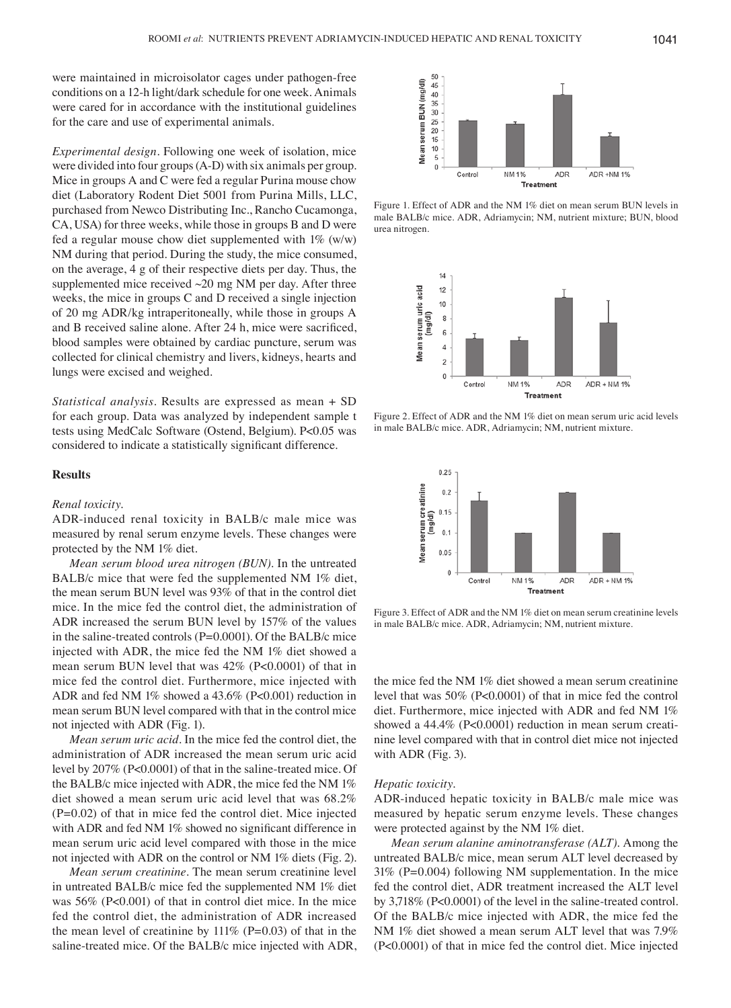were maintained in microisolator cages under pathogen-free conditions on a 12-h light/dark schedule for one week. Animals were cared for in accordance with the institutional guidelines for the care and use of experimental animals.

*Experimental design.* Following one week of isolation, mice were divided into four groups (A-D) with six animals per group. Mice in groups A and C were fed a regular Purina mouse chow diet (Laboratory Rodent Diet 5001 from Purina Mills, LLC, purchased from Newco Distributing Inc., Rancho Cucamonga, CA, USA) for three weeks, while those in groups B and D were fed a regular mouse chow diet supplemented with  $1\%$  (w/w) NM during that period. During the study, the mice consumed, on the average, 4 g of their respective diets per day. Thus, the supplemented mice received  $\sim$ 20 mg NM per day. After three weeks, the mice in groups C and D received a single injection of 20 mg ADR/kg intraperitoneally, while those in groups A and B received saline alone. After 24 h, mice were sacrificed, blood samples were obtained by cardiac puncture, serum was collected for clinical chemistry and livers, kidneys, hearts and lungs were excised and weighed.

*Statistical analysis.* Results are expressed as mean + SD for each group. Data was analyzed by independent sample t tests using MedCalc Software (Ostend, Belgium). P<0.05 was considered to indicate a statistically significant difference.

#### **Results**

#### *Renal toxicity.*

ADR-induced renal toxicity in BALB/c male mice was measured by renal serum enzyme levels. These changes were protected by the NM 1% diet.

*Mean serum blood urea nitrogen (BUN).* In the untreated BALB/c mice that were fed the supplemented NM 1% diet, the mean serum BUN level was 93% of that in the control diet mice. In the mice fed the control diet, the administration of ADR increased the serum BUN level by 157% of the values in the saline-treated controls (P=0.0001). Of the BALB/c mice injected with ADR, the mice fed the NM 1% diet showed a mean serum BUN level that was 42% (P<0.0001) of that in mice fed the control diet. Furthermore, mice injected with ADR and fed NM 1% showed a 43.6% (P<0.001) reduction in mean serum BUN level compared with that in the control mice not injected with ADR (Fig. 1).

*Mean serum uric acid.* In the mice fed the control diet, the administration of ADR increased the mean serum uric acid level by 207% (P<0.0001) of that in the saline-treated mice. Of the BALB/c mice injected with ADR, the mice fed the NM 1% diet showed a mean serum uric acid level that was 68.2%  $(P=0.02)$  of that in mice fed the control diet. Mice injected with ADR and fed NM 1% showed no significant difference in mean serum uric acid level compared with those in the mice not injected with ADR on the control or NM 1% diets (Fig. 2).

*Mean serum creatinine.* The mean serum creatinine level in untreated BALB/c mice fed the supplemented NM 1% diet was 56% (P<0.001) of that in control diet mice. In the mice fed the control diet, the administration of ADR increased the mean level of creatinine by  $111\%$  (P=0.03) of that in the saline-treated mice. Of the BALB/c mice injected with ADR,



Figure 1. Effect of ADR and the NM 1% diet on mean serum BUN levels in male BALB/c mice. ADR, Adriamycin; NM, nutrient mixture; BUN, blood urea nitrogen.



Figure 2. Effect of ADR and the NM 1% diet on mean serum uric acid levels in male BALB/c mice. ADR, Adriamycin; NM, nutrient mixture.



Figure 3. Effect of ADR and the NM 1% diet on mean serum creatinine levels in male BALB/c mice. ADR, Adriamycin; NM, nutrient mixture.

the mice fed the NM 1% diet showed a mean serum creatinine level that was 50% (P<0.0001) of that in mice fed the control diet. Furthermore, mice injected with ADR and fed NM 1% showed a 44.4% (P<0.0001) reduction in mean serum creatinine level compared with that in control diet mice not injected with ADR (Fig. 3).

#### *Hepatic toxicity.*

ADR-induced hepatic toxicity in BALB/c male mice was measured by hepatic serum enzyme levels. These changes were protected against by the NM 1% diet.

*Mean serum alanine aminotransferase (ALT).* Among the untreated BALB/c mice, mean serum ALT level decreased by 31% (P=0.004) following NM supplementation. In the mice fed the control diet, ADR treatment increased the ALT level by 3,718% (P<0.0001) of the level in the saline-treated control. Of the BALB/c mice injected with ADR, the mice fed the NM 1% diet showed a mean serum ALT level that was 7.9% (P<0.0001) of that in mice fed the control diet. Mice injected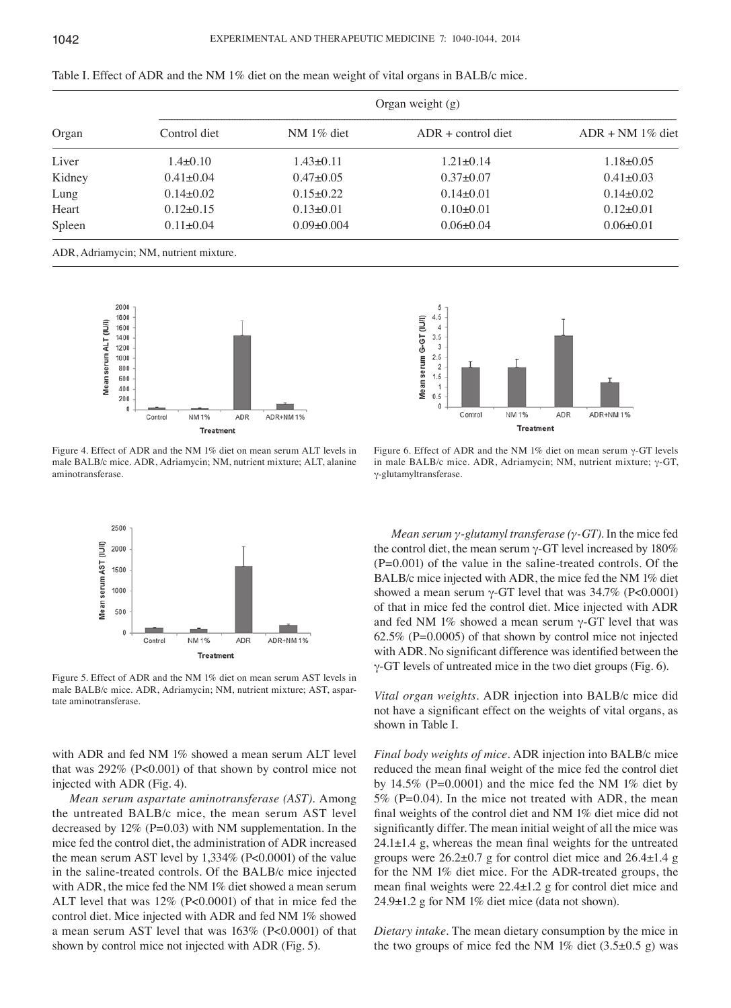| Organ  | Organ weight $(g)$ |                  |                      |                    |
|--------|--------------------|------------------|----------------------|--------------------|
|        | Control diet       | NM $1\%$ diet    | $ADR + control$ diet | $ADR + NM$ 1% diet |
| Liver  | $1.4 \pm 0.10$     | $1.43 \pm 0.11$  | $1.21 \pm 0.14$      | $1.18 \pm 0.05$    |
| Kidney | $0.41 \pm 0.04$    | $0.47 \pm 0.05$  | $0.37 \pm 0.07$      | $0.41 \pm 0.03$    |
| Lung   | $0.14 \pm 0.02$    | $0.15 \pm 0.22$  | $0.14 \pm 0.01$      | $0.14 \pm 0.02$    |
| Heart  | $0.12 \pm 0.15$    | $0.13 \pm 0.01$  | $0.10 \pm 0.01$      | $0.12 \pm 0.01$    |
| Spleen | $0.11 \pm 0.04$    | $0.09 \pm 0.004$ | $0.06 \pm 0.04$      | $0.06 \pm 0.01$    |

Table I. Effect of ADR and the NM 1% diet on the mean weight of vital organs in BALB/c mice.

ADR, Adriamycin; NM, nutrient mixture.



Figure 4. Effect of ADR and the NM 1% diet on mean serum ALT levels in male BALB/c mice. ADR, Adriamycin; NM, nutrient mixture; ALT, alanine aminotransferase.



Figure 5. Effect of ADR and the NM 1% diet on mean serum AST levels in male BALB/c mice. ADR, Adriamycin; NM, nutrient mixture; AST, aspartate aminotransferase.

with ADR and fed NM 1% showed a mean serum ALT level that was 292% (P<0.001) of that shown by control mice not injected with ADR (Fig. 4).

*Mean serum aspartate aminotransferase (AST).* Among the untreated BALB/c mice, the mean serum AST level decreased by 12% (P=0.03) with NM supplementation. In the mice fed the control diet, the administration of ADR increased the mean serum AST level by 1,334% (P<0.0001) of the value in the saline-treated controls. Of the BALB/c mice injected with ADR, the mice fed the NM 1% diet showed a mean serum ALT level that was 12% (P<0.0001) of that in mice fed the control diet. Mice injected with ADR and fed NM 1% showed a mean serum AST level that was 163% (P<0.0001) of that shown by control mice not injected with ADR (Fig. 5).



Figure 6. Effect of ADR and the NM 1% diet on mean serum  $\gamma$ -GT levels in male BALB/c mice. ADR, Adriamycin; NM, nutrient mixture; γ-GT, γ‑glutamyltransferase.

*Mean serum γ‑glutamyl transferase (γ‑GT).* In the mice fed the control diet, the mean serum γ-GT level increased by  $180\%$  $(P=0.001)$  of the value in the saline-treated controls. Of the BALB/c mice injected with ADR, the mice fed the NM 1% diet showed a mean serum  $\gamma$ -GT level that was 34.7% (P<0.0001) of that in mice fed the control diet. Mice injected with ADR and fed NM 1% showed a mean serum  $\gamma$ -GT level that was 62.5% (P=0.0005) of that shown by control mice not injected with ADR. No significant difference was identified between the γ‑GT levels of untreated mice in the two diet groups (Fig. 6).

*Vital organ weights.* ADR injection into BALB/c mice did not have a significant effect on the weights of vital organs, as shown in Table I.

*Final body weights of mice.* ADR injection into BALB/c mice reduced the mean final weight of the mice fed the control diet by  $14.5\%$  (P=0.0001) and the mice fed the NM 1% diet by 5% (P=0.04). In the mice not treated with ADR, the mean final weights of the control diet and NM 1% diet mice did not significantly differ. The mean initial weight of all the mice was  $24.1 \pm 1.4$  g, whereas the mean final weights for the untreated groups were  $26.2\pm0.7$  g for control diet mice and  $26.4\pm1.4$  g for the NM 1% diet mice. For the ADR-treated groups, the mean final weights were 22.4±1.2 g for control diet mice and 24.9±1.2 g for NM 1% diet mice (data not shown).

*Dietary intake.* The mean dietary consumption by the mice in the two groups of mice fed the NM  $1\%$  diet (3.5 $\pm$ 0.5 g) was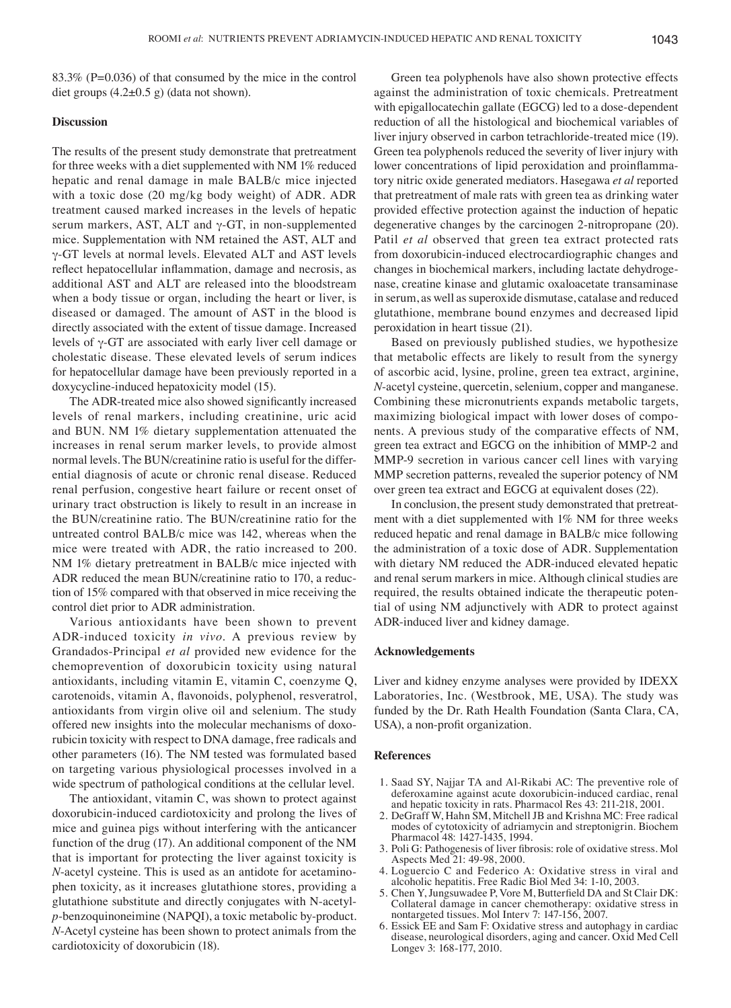83.3% (P=0.036) of that consumed by the mice in the control diet groups  $(4.2\pm0.5 \text{ g})$  (data not shown).

## **Discussion**

The results of the present study demonstrate that pretreatment for three weeks with a diet supplemented with NM 1% reduced hepatic and renal damage in male BALB/c mice injected with a toxic dose (20 mg/kg body weight) of ADR. ADR treatment caused marked increases in the levels of hepatic serum markers, AST, ALT and  $\gamma$ -GT, in non-supplemented mice. Supplementation with NM retained the AST, ALT and γ-GT levels at normal levels. Elevated ALT and AST levels reflect hepatocellular inflammation, damage and necrosis, as additional AST and ALT are released into the bloodstream when a body tissue or organ, including the heart or liver, is diseased or damaged. The amount of AST in the blood is directly associated with the extent of tissue damage. Increased levels of γ-GT are associated with early liver cell damage or cholestatic disease. These elevated levels of serum indices for hepatocellular damage have been previously reported in a doxycycline-induced hepatoxicity model (15).

The ADR-treated mice also showed significantly increased levels of renal markers, including creatinine, uric acid and BUN. NM 1% dietary supplementation attenuated the increases in renal serum marker levels, to provide almost normal levels. The BUN/creatinine ratio is useful for the differential diagnosis of acute or chronic renal disease. Reduced renal perfusion, congestive heart failure or recent onset of urinary tract obstruction is likely to result in an increase in the BUN/creatinine ratio. The BUN/creatinine ratio for the untreated control BALB/c mice was 142, whereas when the mice were treated with ADR, the ratio increased to 200. NM 1% dietary pretreatment in BALB/c mice injected with ADR reduced the mean BUN/creatinine ratio to 170, a reduction of 15% compared with that observed in mice receiving the control diet prior to ADR administration.

Various antioxidants have been shown to prevent ADR-induced toxicity *in vivo*. A previous review by Grandados-Principal *et al* provided new evidence for the chemoprevention of doxorubicin toxicity using natural antioxidants, including vitamin E, vitamin C, coenzyme Q, carotenoids, vitamin A, flavonoids, polyphenol, resveratrol, antioxidants from virgin olive oil and selenium. The study offered new insights into the molecular mechanisms of doxorubicin toxicity with respect to DNA damage, free radicals and other parameters (16). The NM tested was formulated based on targeting various physiological processes involved in a wide spectrum of pathological conditions at the cellular level.

The antioxidant, vitamin C, was shown to protect against doxorubicin-induced cardiotoxicity and prolong the lives of mice and guinea pigs without interfering with the anticancer function of the drug (17). An additional component of the NM that is important for protecting the liver against toxicity is *N*-acetyl cysteine. This is used as an antidote for acetaminophen toxicity, as it increases glutathione stores, providing a glutathione substitute and directly conjugates with N-acetyl*p*-benzoquinoneimine (NAPQI), a toxic metabolic by-product. *N*-Acetyl cysteine has been shown to protect animals from the cardiotoxicity of doxorubicin (18).

Green tea polyphenols have also shown protective effects against the administration of toxic chemicals. Pretreatment with epigallocatechin gallate (EGCG) led to a dose-dependent reduction of all the histological and biochemical variables of liver injury observed in carbon tetrachloride-treated mice (19). Green tea polyphenols reduced the severity of liver injury with lower concentrations of lipid peroxidation and proinflammatory nitric oxide generated mediators. Hasegawa *et al* reported that pretreatment of male rats with green tea as drinking water provided effective protection against the induction of hepatic degenerative changes by the carcinogen 2-nitropropane (20). Patil *et al* observed that green tea extract protected rats from doxorubicin-induced electrocardiographic changes and changes in biochemical markers, including lactate dehydrogenase, creatine kinase and glutamic oxaloacetate transaminase in serum, as well as superoxide dismutase, catalase and reduced glutathione, membrane bound enzymes and decreased lipid peroxidation in heart tissue (21).

Based on previously published studies, we hypothesize that metabolic effects are likely to result from the synergy of ascorbic acid, lysine, proline, green tea extract, arginine, *N*-acetyl cysteine, quercetin, selenium, copper and manganese. Combining these micronutrients expands metabolic targets, maximizing biological impact with lower doses of components. A previous study of the comparative effects of NM, green tea extract and EGCG on the inhibition of MMP-2 and MMP-9 secretion in various cancer cell lines with varying MMP secretion patterns, revealed the superior potency of NM over green tea extract and EGCG at equivalent doses (22).

In conclusion, the present study demonstrated that pretreatment with a diet supplemented with 1% NM for three weeks reduced hepatic and renal damage in BALB/c mice following the administration of a toxic dose of ADR. Supplementation with dietary NM reduced the ADR-induced elevated hepatic and renal serum markers in mice. Although clinical studies are required, the results obtained indicate the therapeutic potential of using NM adjunctively with ADR to protect against ADR-induced liver and kidney damage.

### **Acknowledgements**

Liver and kidney enzyme analyses were provided by IDEXX Laboratories, Inc. (Westbrook, ME, USA). The study was funded by the Dr. Rath Health Foundation (Santa Clara, CA, USA), a non‑profit organization.

#### **References**

- 1. Saad SY, Najjar TA and Al-Rikabi AC: The preventive role of deferoxamine against acute doxorubicin-induced cardiac, renal and hepatic toxicity in rats. Pharmacol Res 43: 211‑218, 2001.
- 2. DeGraff W, Hahn SM, Mitchell JB and Krishna MC: Free radical modes of cytotoxicity of adriamycin and streptonigrin. Biochem Pharmacol 48: 1427‑1435, 1994.
- 3. Poli G: Pathogenesis of liver fibrosis: role of oxidative stress. Mol Aspects Med 21: 49-98, 2000.
- 4. Loguercio C and Federico A: Oxidative stress in viral and alcoholic hepatitis. Free Radic Biol Med 34: 1‑10, 2003.
- 5. Chen Y, Jungsuwadee P, Vore M, Butterfield DA and St Clair DK: Collateral damage in cancer chemotherapy: oxidative stress in nontargeted tissues. Mol Interv 7: 147-156, 2007.
- 6. Essick EE and Sam F: Oxidative stress and autophagy in cardiac disease, neurological disorders, aging and cancer. Oxid Med Cell Longev 3: 168‑177, 2010.